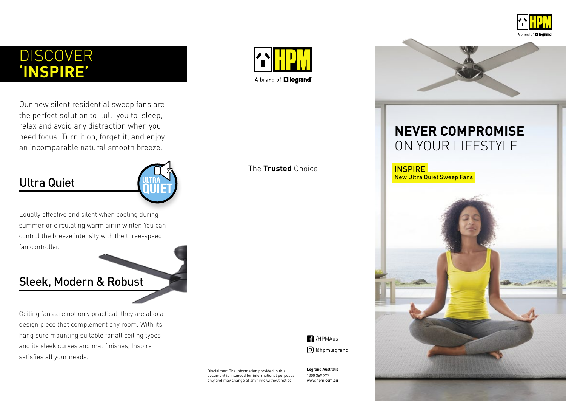

# DISCOVER **'INSPIRE'**

Our new silent residential sweep fans are the perfect solution to lull you to sleep, relax and avoid any distraction when you need focus. Turn it on, forget it, and enjoy an incomparable natural smooth breeze.

## Ultra Quiet



Equally effective and silent when cooling during summer or circulating warm air in winter. You can control the breeze intensity with the three-speed fan controller.

#### Sleek, Modern & Robust

Ceiling fans are not only practical, they are also a design piece that complement any room. With its hang sure mounting suitable for all ceiling types and its sleek curves and mat finishes, Inspire satisfies all your needs.



The **Trusted** Choice

 $\blacksquare$ /HPMAus @hpmlegrand

Disclaimer: The information provided in this document is intended for informational purposes only and may change at any time without notice.

**Legrand Australia** 1300 369 777 www.hpm.com.au



# **NEVER COMPROMISE** ON YOUR LIFESTYLE

INSPIRE New Ultra Quiet Sweep Fans